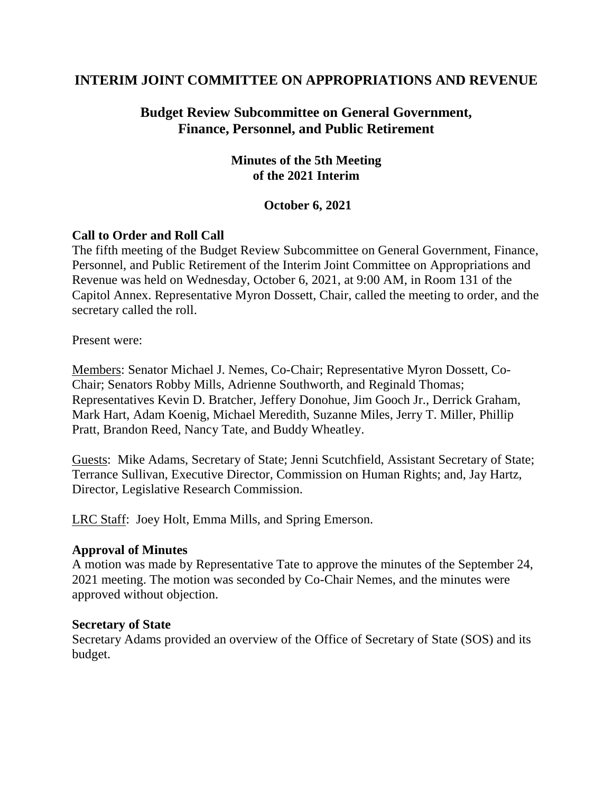# **INTERIM JOINT COMMITTEE ON APPROPRIATIONS AND REVENUE**

# **Budget Review Subcommittee on General Government, Finance, Personnel, and Public Retirement**

### **Minutes of the 5th Meeting of the 2021 Interim**

### **October 6, 2021**

### **Call to Order and Roll Call**

The fifth meeting of the Budget Review Subcommittee on General Government, Finance, Personnel, and Public Retirement of the Interim Joint Committee on Appropriations and Revenue was held on Wednesday, October 6, 2021, at 9:00 AM, in Room 131 of the Capitol Annex. Representative Myron Dossett, Chair, called the meeting to order, and the secretary called the roll.

Present were:

Members: Senator Michael J. Nemes, Co-Chair; Representative Myron Dossett, Co-Chair; Senators Robby Mills, Adrienne Southworth, and Reginald Thomas; Representatives Kevin D. Bratcher, Jeffery Donohue, Jim Gooch Jr., Derrick Graham, Mark Hart, Adam Koenig, Michael Meredith, Suzanne Miles, Jerry T. Miller, Phillip Pratt, Brandon Reed, Nancy Tate, and Buddy Wheatley.

Guests: Mike Adams, Secretary of State; Jenni Scutchfield, Assistant Secretary of State; Terrance Sullivan, Executive Director, Commission on Human Rights; and, Jay Hartz, Director, Legislative Research Commission.

LRC Staff: Joey Holt, Emma Mills, and Spring Emerson.

### **Approval of Minutes**

A motion was made by Representative Tate to approve the minutes of the September 24, 2021 meeting. The motion was seconded by Co-Chair Nemes, and the minutes were approved without objection.

#### **Secretary of State**

Secretary Adams provided an overview of the Office of Secretary of State (SOS) and its budget.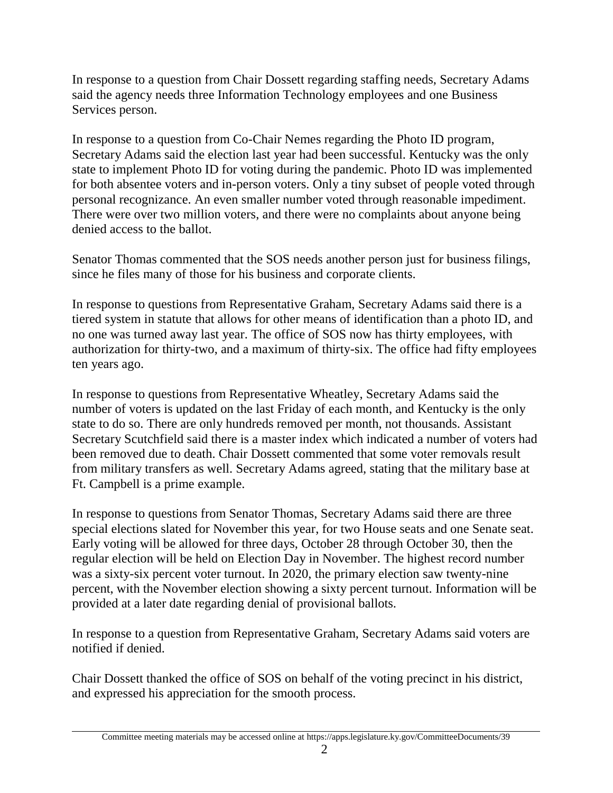In response to a question from Chair Dossett regarding staffing needs, Secretary Adams said the agency needs three Information Technology employees and one Business Services person.

In response to a question from Co-Chair Nemes regarding the Photo ID program, Secretary Adams said the election last year had been successful. Kentucky was the only state to implement Photo ID for voting during the pandemic. Photo ID was implemented for both absentee voters and in-person voters. Only a tiny subset of people voted through personal recognizance. An even smaller number voted through reasonable impediment. There were over two million voters, and there were no complaints about anyone being denied access to the ballot.

Senator Thomas commented that the SOS needs another person just for business filings, since he files many of those for his business and corporate clients.

In response to questions from Representative Graham, Secretary Adams said there is a tiered system in statute that allows for other means of identification than a photo ID, and no one was turned away last year. The office of SOS now has thirty employees, with authorization for thirty-two, and a maximum of thirty-six. The office had fifty employees ten years ago.

In response to questions from Representative Wheatley, Secretary Adams said the number of voters is updated on the last Friday of each month, and Kentucky is the only state to do so. There are only hundreds removed per month, not thousands. Assistant Secretary Scutchfield said there is a master index which indicated a number of voters had been removed due to death. Chair Dossett commented that some voter removals result from military transfers as well. Secretary Adams agreed, stating that the military base at Ft. Campbell is a prime example.

In response to questions from Senator Thomas, Secretary Adams said there are three special elections slated for November this year, for two House seats and one Senate seat. Early voting will be allowed for three days, October 28 through October 30, then the regular election will be held on Election Day in November. The highest record number was a sixty-six percent voter turnout. In 2020, the primary election saw twenty-nine percent, with the November election showing a sixty percent turnout. Information will be provided at a later date regarding denial of provisional ballots.

In response to a question from Representative Graham, Secretary Adams said voters are notified if denied.

Chair Dossett thanked the office of SOS on behalf of the voting precinct in his district, and expressed his appreciation for the smooth process.

Committee meeting materials may be accessed online at https://apps.legislature.ky.gov/CommitteeDocuments/39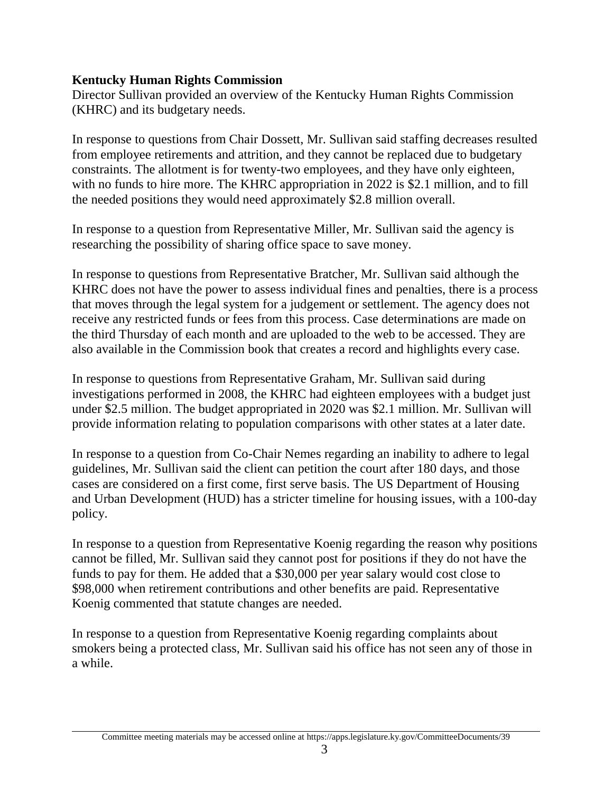### **Kentucky Human Rights Commission**

Director Sullivan provided an overview of the Kentucky Human Rights Commission (KHRC) and its budgetary needs.

In response to questions from Chair Dossett, Mr. Sullivan said staffing decreases resulted from employee retirements and attrition, and they cannot be replaced due to budgetary constraints. The allotment is for twenty-two employees, and they have only eighteen, with no funds to hire more. The KHRC appropriation in 2022 is \$2.1 million, and to fill the needed positions they would need approximately \$2.8 million overall.

In response to a question from Representative Miller, Mr. Sullivan said the agency is researching the possibility of sharing office space to save money.

In response to questions from Representative Bratcher, Mr. Sullivan said although the KHRC does not have the power to assess individual fines and penalties, there is a process that moves through the legal system for a judgement or settlement. The agency does not receive any restricted funds or fees from this process. Case determinations are made on the third Thursday of each month and are uploaded to the web to be accessed. They are also available in the Commission book that creates a record and highlights every case.

In response to questions from Representative Graham, Mr. Sullivan said during investigations performed in 2008, the KHRC had eighteen employees with a budget just under \$2.5 million. The budget appropriated in 2020 was \$2.1 million. Mr. Sullivan will provide information relating to population comparisons with other states at a later date.

In response to a question from Co-Chair Nemes regarding an inability to adhere to legal guidelines, Mr. Sullivan said the client can petition the court after 180 days, and those cases are considered on a first come, first serve basis. The US Department of Housing and Urban Development (HUD) has a stricter timeline for housing issues, with a 100-day policy.

In response to a question from Representative Koenig regarding the reason why positions cannot be filled, Mr. Sullivan said they cannot post for positions if they do not have the funds to pay for them. He added that a \$30,000 per year salary would cost close to \$98,000 when retirement contributions and other benefits are paid. Representative Koenig commented that statute changes are needed.

In response to a question from Representative Koenig regarding complaints about smokers being a protected class, Mr. Sullivan said his office has not seen any of those in a while.

Committee meeting materials may be accessed online at https://apps.legislature.ky.gov/CommitteeDocuments/39